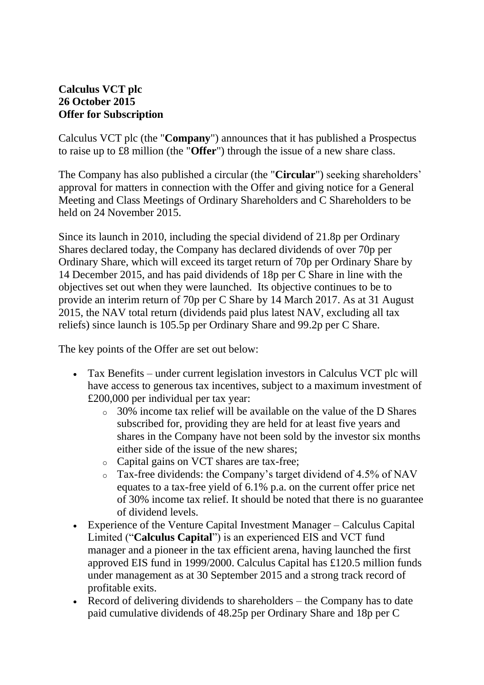## **Calculus VCT plc 26 October 2015 Offer for Subscription**

Calculus VCT plc (the "**Company**") announces that it has published a Prospectus to raise up to £8 million (the "**Offer**") through the issue of a new share class.

The Company has also published a circular (the "**Circular**") seeking shareholders' approval for matters in connection with the Offer and giving notice for a General Meeting and Class Meetings of Ordinary Shareholders and C Shareholders to be held on 24 November 2015.

Since its launch in 2010, including the special dividend of 21.8p per Ordinary Shares declared today, the Company has declared dividends of over 70p per Ordinary Share, which will exceed its target return of 70p per Ordinary Share by 14 December 2015, and has paid dividends of 18p per C Share in line with the objectives set out when they were launched. Its objective continues to be to provide an interim return of 70p per C Share by 14 March 2017. As at 31 August 2015, the NAV total return (dividends paid plus latest NAV, excluding all tax reliefs) since launch is 105.5p per Ordinary Share and 99.2p per C Share.

The key points of the Offer are set out below:

- Tax Benefits under current legislation investors in Calculus VCT plc will have access to generous tax incentives, subject to a maximum investment of £200,000 per individual per tax year:
	- o 30% income tax relief will be available on the value of the D Shares subscribed for, providing they are held for at least five years and shares in the Company have not been sold by the investor six months either side of the issue of the new shares;
	- o Capital gains on VCT shares are tax-free;
	- o Tax-free dividends: the Company's target dividend of 4.5% of NAV equates to a tax-free yield of 6.1% p.a. on the current offer price net of 30% income tax relief. It should be noted that there is no guarantee of dividend levels.
- Experience of the Venture Capital Investment Manager Calculus Capital Limited ("**Calculus Capital**") is an experienced EIS and VCT fund manager and a pioneer in the tax efficient arena, having launched the first approved EIS fund in 1999/2000. Calculus Capital has £120.5 million funds under management as at 30 September 2015 and a strong track record of profitable exits.
- Record of delivering dividends to shareholders the Company has to date paid cumulative dividends of 48.25p per Ordinary Share and 18p per C